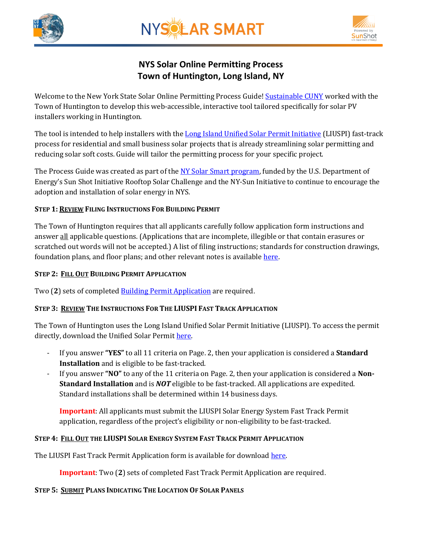

# **NYSOLAR SMART**



## **NYS Solar Online Permitting Process Town of Huntington, Long Island, NY**

Welcome to the New York State Solar Online Permitting Process Guide! [Sustainable CUNY](http://www.cuny.edu/about/resources/sustainability.html) worked with the Town of Huntington to develop this web-accessible, interactive tool tailored specifically for solar PV installers working in Huntington.

The tool is intended to help installers with th[e Long Island Unified Solar Permit Initiative](http://www.huntingtonny.gov/filestorage/13749/13847/16804/16808/16846/Form_87-05_-_Long_Island_Unified_Solar_Permit_Initiative.pdf) (LIUSPI) fast-track process for residential and small business solar projects that is already streamlining solar permitting and reducing solar soft costs. Guide will tailor the permitting process for your specific project.

The Process Guide was created as part of the NY [Solar Smart program,](http://www.cuny.edu/about/resources/sustainability/nyssolar.html) funded by the U.S. Department of Energy's Sun Shot Initiative Rooftop Solar Challenge and the NY-Sun Initiative to continue to encourage the adoption and installation of solar energy in NYS.

## **STEP 1: REVIEW FILING INSTRUCTIONS FOR BUILDING PERMIT**

The Town of Huntington requires that all applicants carefully follow application form instructions and answer all applicable questions. (Applications that are incomplete, illegible or that contain erasures or scratched out words will not be accepted.) A list of filing instructions; standards for construction drawings, foundation plans, and floor plans; and other relevant notes is availabl[e here.](http://www.huntingtonny.gov/content/13749/13847/16804/16808/16840/18928/default.aspx)

#### **STEP 2: FILL OUT BUILDING PERMIT APPLICATION**

Two (2) sets of completed **Building Permit Application** are required.

## **STEP 3: REVIEW THE INSTRUCTIONS FOR THE LIUSPI FAST TRACK APPLICATION**

The Town of Huntington uses the Long Island Unified Solar Permit Initiative (LIUSPI). To access the permit directly, download the Unified Solar Permit [here.](http://www.huntingtonny.gov/filestorage/13749/13847/16804/16808/16846/Form_87-05_-_Long_Island_Unified_Solar_Permit_Initiative.pdf)

- If you answer **"YES"** to all 11 criteria on Page. 2, then your application is considered a **Standard Installation** and is eligible to be fast-tracked.
- If you answer **"NO"** to any of the 11 criteria on Page. 2, then your application is considered a **Non-Standard Installation** and is *NOT* eligible to be fast-tracked. All applications are expedited. Standard installations shall be determined within 14 business days.

**Important**: All applicants must submit the LIUSPI Solar Energy System Fast Track Permit application, regardless of the project's eligibility or non-eligibility to be fast-tracked.

## STEP 4: FILL OUT THE LIUSPI SOLAR ENERGY SYSTEM FAST TRACK PERMIT APPLICATION

The LIUSPI Fast Track Permit Application form is available for download [here.](http://www.toh.li/building-forms/roof-top-solar-installation)

**Important**: Two (**2**) sets of completed Fast Track Permit Application are required.

#### **STEP 5: SUBMIT PLANS INDICATING THE LOCATION OF SOLAR PANELS**